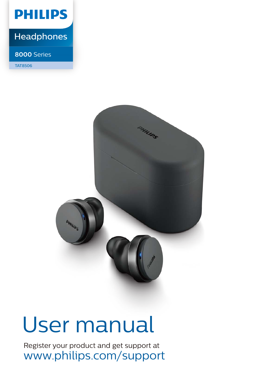

## **Headphones**

#### **8000** Series

TAT8506



# User manual

Register your product and get support at www.philips.com/support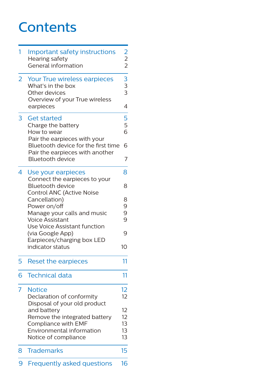## **Contents**

| 1              | Important safety instructions<br><b>Hearing safety</b><br>General information                        |                      |
|----------------|------------------------------------------------------------------------------------------------------|----------------------|
| $\overline{2}$ | Your True wireless earpieces<br>What's in the box<br>Other devices<br>Overview of your True wireless | $222 - 33$<br>3<br>3 |
|                | earpieces                                                                                            | $\overline{4}$       |
| 3              | <b>Get started</b>                                                                                   | 5<br>5<br>6          |
|                | Charge the battery<br>How to wear<br>Pair the earpieces with your                                    |                      |
|                | Bluetooth device for the first time<br>Pair the earpieces with another                               | 6                    |
|                | <b>Bluetooth device</b>                                                                              | 7                    |
| 4              | Use your earpieces<br>Connect the earpieces to your                                                  | 8                    |
|                | Bluetooth device<br>Control ANC (Active Noise                                                        | 8                    |
|                | Cancellation)<br>Power on/off                                                                        | 8<br>9               |
|                | Manage your calls and music                                                                          | 9<br>9               |
|                | <b>Voice Assistant</b>                                                                               |                      |
|                | Use Voice Assistant function<br>(via Google App)<br>Earpieces/charging box LED                       | 9                    |
|                | indicator status                                                                                     | 10                   |
| 5              | <b>Reset the earpieces</b>                                                                           | 11                   |
| 6              | <b>Technical data</b>                                                                                | 11                   |
| $\overline{7}$ | <b>Notice</b>                                                                                        | 12                   |
|                | Declaration of conformity                                                                            | 12                   |
|                | Disposal of your old product<br>and battery                                                          | 12                   |
|                | Remove the integrated battery                                                                        | 12                   |
|                | Compliance with EMF                                                                                  | 13                   |
|                | Environmental information<br>Notice of compliance                                                    | 13<br>13             |
| 8              | <b>Trademarks</b>                                                                                    | 15                   |
| 9              | <b>Frequently asked questions</b>                                                                    | 16                   |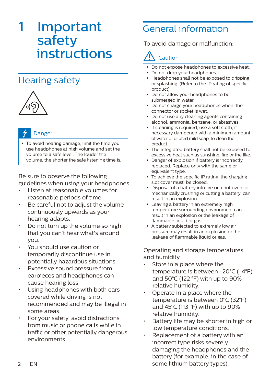## 1 Important safety instructions

## Hearing safety



#### Danger

 To avoid hearing damage, limit the time you use headphones at high volume and set the volume to a safe level. The louder the volume, the shorter the safe listening time is.

Be sure to observe the following guidelines when using your headphones.

- Listen at reasonable volumes for reasonable periods of time.
- Be careful not to adjust the volume continuously upwards as your hearing adapts.
- Do not turn up the volume so high that you can't hear what's around you.
- You should use caution or temporarily discontinue use in potentially hazardous situations.
- Excessive sound pressure from earpieces and headphones can cause hearing loss.
- Using headphones with both ears covered while driving is not recommended and may be illegal in some areas.
- For your safety, avoid distractions from music or phone calls while in traffic or other potentially dangerous environments.

## General information

To avoid damage or malfunction:

## Caution

- Do not expose headphones to excessive heat.
- Do not drop your headphones.
- Headphones shall not be exposed to dripping or splashing. (Refer to the IP rating of specific product)
- Do not allow your headphones to be submerged in water.
- Do not charge your headphones when the connector or socket is wet.
- Do not use any cleaning agents containing alcohol, ammonia, benzene, or abrasives.
- If cleaning is required, use a soft cloth, if necessary dampened with a minimum amount of water or diluted mild soap, to clean the product.
- The integrated battery shall not be exposed to excessive heat such as sunshine, fire or the like.
- Danger of explosion if battery is incorrectly replaced. Replace only with the same or equivalent type.
- To achieve the specific IP rating, the charging slot cover must be closed.
- Disposal of a battery into fire or a hot oven, or mechanically crushing or cutting a battery, can result in an explosion.
- Leaving a battery in an extremely high temperature surrounding environment can result in an explosion or the leakage of flammable liquid or gas.
- A battery subjected to extremely low air pressure may result in an explosion or the leakage of flammable liquid or gas.

Operating and storage temperatures and humidity

- Store in a place where the temperature is between -20°C (-4°F) and 50°C (122 °F) with up to 90% relative humidity.
- Operate in a place where the temperature is between 0°C (32°F) and 45°C (113 °F) with up to 90% relative humidity.
- Battery life may be shorter in high or low temperature conditions.
- Replacement of a battery with an incorrect type risks severely damaging the headphones and the battery (for example, in the case of some lithium battery types).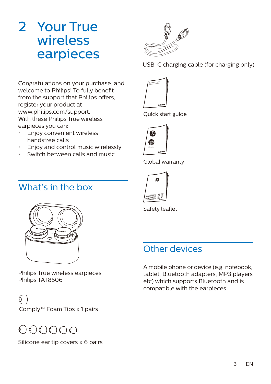## 2 Your True wireless earpieces



USB-C charging cable (for charging only)

Congratulations on your purchase, and welcome to Philips! To fully benefit from the support that Philips offers, register your product at www.philips.com/support. With these Philips True wireless earpieces you can:

- Enjoy convenient wireless handsfree calls
- Enjoy and control music wirelessly
- Switch between calls and music

## What's in the box



Philips True wireless earpieces Philips TAT8506

Comply™ Foam Tips x 1 pairs

## $\bigcirc$

Silicone ear tip covers x 6 pairs



Quick start guide



Global warranty



Safety leaflet

## Other devices

A mobile phone or device (e.g. notebook, tablet, Bluetooth adapters, MP3 players etc) which supports Bluetooth and is compatible with the earpieces.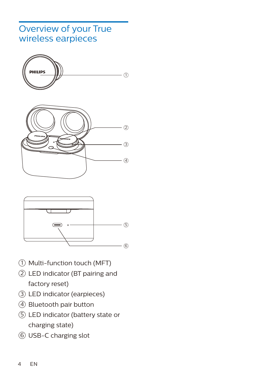### Overview of your True wireless earpieces







- $1)$  Multi-function touch (MFT)
- LED indicator (BT pairing and factory reset)
- LED indicator (earpieces)
- Bluetooth pair button
- LED indicator (battery state or charging state)
- USB-C charging slot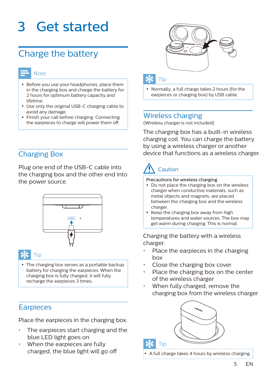## 3 Get started

## Charge the battery

#### Note

- Before you use your headphones, place them in the charging box and charge the battery for 2 hours for optimum battery capacity and lifetime.
- Use only the original USB-C charging cable to avoid any damage.
- Finish your call before charging. Connecting the earpieces to charge will power them off.

#### Charging Box

Plug one end of the USB-C cable into the charging box and the other end into the power source.



#### Tip

 The charging box serves as a portable backup battery for charging the earpieces. When the charging box is fully charged, it will fully recharge the earpieces 3 times.

#### **Earpieces**

Place the earpieces in the charging box.

- The earpieces start charging and the blue LED light goes on
- When the earpieces are fully charged, the blue light will go o



#### Tip

 Normally, a full charge takes 2 hours (for the earpieces or charging box) by USB cable.

#### Wireless charging

(Wireless charger is not included)

The charging box has a built-in wireless charging coil. You can charge the battery by using a wireless charger or another device that functions as a wireless charger.

## Caution

#### Precautions for wireless charging

- Do not place the charging box on the wireless charger when conductive materials, such as metal objects and magnets, are placed between the charging box and the wireless charger.
- Keep the charging box away from high temperatures and water sources. The box may get warm during charging. This is normal.

Charging the battery with a wireless charger.

- Place the earpieces in the charging box
- Close the charging box cover
- Place the charging box on the center of the wireless charger
- When fully charged, remove the charging box from the wireless charger



A full charge takes 4 hours by wireless charging.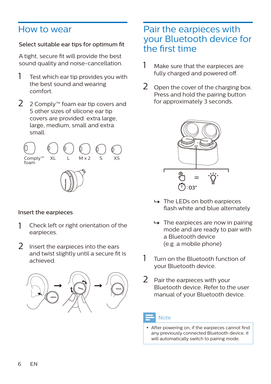### How to wear

#### Select suitable ear tips for optimum fit

A tight, secure fit will provide the best sound quality and noise-cancellation.

- Test which ear tip provides you with the best sound and wearing comfort. 1
- 2 Comply™ foam ear tip covers and 5 other sizes of silicone ear tip covers are provided: extra large, large, medium, small and extra small.  $\mathcal{P}$



#### Insert the earpieces

- 1 Check left or right orientation of the earpieces.
- 2 Insert the earpieces into the ears and twist slightly until a secure fit is achieved.



### Pair the earpieces with your Bluetooth device for the first time

- 1 Make sure that the earpieces are fully charged and powered off.
- 2 Open the cover of the charging box. Press and hold the pairing button for approximately 3 seconds.



- $\rightarrow$  The LEDs on both earpieces flash white and blue alternately
- $\rightarrow$  The earpieces are now in pairing mode and are ready to pair with a Bluetooth device (e.g. a mobile phone)
- Turn on the Bluetooth function of your Bluetooth device. 1
- Pair the earpieces with your Bluetooth device. Refer to the user manual of your Bluetooth device.  $\mathcal{P}$

#### **Note**

• After powering on, if the earpieces cannot find any previously connected Bluetooth device, it will automatically switch to pairing mode.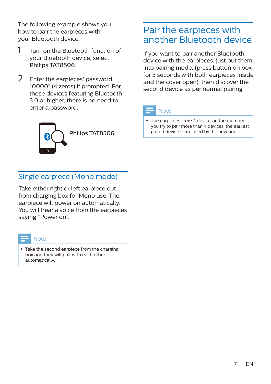The following example shows you how to pair the earpieces with your Bluetooth device.

- Turn on the Bluetooth function of your Bluetooth device, select Philips TAT8506. 1
- Enter the earpieces' password "0000" (4 zeros) if prompted. For those devices featuring Bluetooth 3.0 or higher, there is no need to enter a password.  $\mathcal{P}$



### Pair the earpieces with another Bluetooth device

If you want to pair another Bluetooth device with the earpieces, just put them into pairing mode, (press button on box for 3 seconds with both earpieces inside and the cover open), then discover the second device as per normal pairing.



#### Note

 The earpieces store 4 devices in the memory. If you try to pair more than 4 devices, the earliest paired device is replaced by the new one.

#### Single earpiece (Mono mode)

Take either right or left earpiece out from charging box for Mono use. The earpiece will power on automatically. You will hear a voice from the earpieces saying "Power on".

| _ |  |       |
|---|--|-------|
|   |  | _____ |

- Take the second earpiece from the charging
- box and they will pair with each other automatically.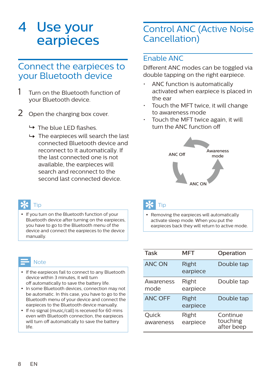## 4 Use your earpieces

### Connect the earpieces to your Bluetooth device

- 1 Turn on the Bluetooth function of your Bluetooth device.
- 2 Open the charging box cover.
	- $\rightarrow$  The blue LED flashes.
	- $\rightarrow$  The earpieces will search the last connected Bluetooth device and reconnect to it automatically. If the last connected one is not available, the earpieces will search and reconnect to the second last connected device.

## Tip

• If you turn on the Bluetooth function of your Bluetooth device after turning on the earpieces, you have to go to the Bluetooth menu of the device and connect the earpieces to the device manually.

#### Note

- If the earpieces fail to connect to any Bluetooth device within 3 minutes, it will turn off automatically to save the battery life.
- In some Bluetooth devices, connection may not be automatic. In this case, you have to go to the Bluetooth menu of your device and connect the earpieces to the Bluetooth device manually.
- If no signal (music/call) is received for 60 mins even with Bluetooth connection, the earpieces will turn off automatically to save the battery life.

## Control ANC (Active Noise Cancellation)

#### Enable ANC

Different ANC modes can be toggled via double tapping on the right earpiece.

- ANC function is automatically activated when earpiece is placed in the ear
- Touch the MFT twice, it will change to awareness mode
- Touch the MFT twice again, it will turn the ANC function off



### Tip

 Removing the earpieces will automatically activate sleep mode. When you put the earpieces back they will return to active mode.

| Task               | MFT               | Operation                          |
|--------------------|-------------------|------------------------------------|
| <b>ANC ON</b>      | Right<br>earpiece | Double tap                         |
| Awareness<br>mode  | Right<br>earpiece | Double tap                         |
| <b>ANC OFF</b>     | Right<br>earpiece | Double tap                         |
| Quick<br>awareness | Right<br>earpiece | Continue<br>touching<br>after beep |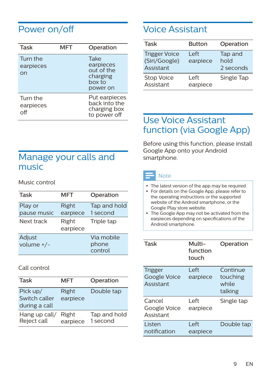## Power on/o

| Task                         | MFT | Operation                                                         |
|------------------------------|-----|-------------------------------------------------------------------|
| Turn the<br>earpieces<br>on  |     | Take<br>earpieces<br>out of the<br>charging<br>hox to<br>power on |
| Turn the<br>earpieces<br>∩ff |     | Put earpieces<br>back into the<br>charging box<br>to power off    |

### Voice Assistant

| Task                                               | <b>Button</b>     | Operation                    |
|----------------------------------------------------|-------------------|------------------------------|
| <b>Trigger Voice</b><br>(Siri/Google)<br>Assistant | l eft<br>earpiece | Tap and<br>hold<br>2 seconds |
| <b>Stop Voice</b><br>Assistant                     | l eft<br>earpiece | Single Tap                   |

## Use Voice Assistant function (via Google App)

Before using this function, please install Google App onto your Android smartphone.

## Manage your calls and music

Music control

| Task                   | MFT               | Operation                      |
|------------------------|-------------------|--------------------------------|
| Play or<br>pause music | Right<br>earpiece | Tap and hold<br>1 second       |
| Next track             | Right<br>earpiece | Triple tap                     |
| Adjust<br>volume $+/-$ |                   | Via mobile<br>phone<br>control |

#### Call control

| Task                                       | MFT               | Operation                |
|--------------------------------------------|-------------------|--------------------------|
| Pick up/<br>Switch caller<br>during a call | Right<br>earpiece | Double tap               |
| Hang up call/<br>Reject call               | Right<br>earpiece | Tap and hold<br>1 second |

#### Note

- The latest version of the app may be required. For details on the Google App, please refer to the operating instructions or the supported website of the Android smartphone, or the
- Google Play store website. The Google App may not be activated from the earpieces depending on specifications of the Android smartphone.

| Task                                        | Multi-<br>function<br>touch | Operation                                |
|---------------------------------------------|-----------------------------|------------------------------------------|
| <b>Trigger</b><br>Google Voice<br>Assistant | l eft<br>earpiece           | Continue<br>touching<br>while<br>talking |
| Cancel<br>Google Voice<br>Assistant         | l eft<br>earpiece           | Single tap                               |
| Listen<br>notification                      | I eft<br>earpiece           | Double tap                               |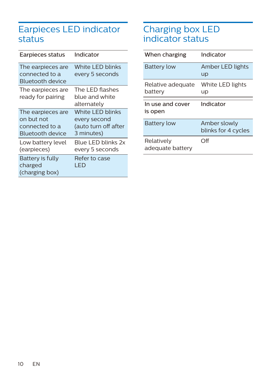## Earpieces LED indicator status

| Earpieces status                                                      | Indicator                                                              |
|-----------------------------------------------------------------------|------------------------------------------------------------------------|
| The earpieces are<br>connected to a<br>Bluetooth device               | White LED blinks<br>every 5 seconds                                    |
| The earpieces are<br>ready for pairing                                | The LED flashes<br>blue and white<br>alternately                       |
| The earpieces are<br>on but not<br>connected to a<br>Bluetooth device | White LED blinks<br>every second<br>(auto turn off after<br>3 minutes) |
| Low battery level<br>(earpieces)                                      | Blue I FD blinks 2x<br>every 5 seconds                                 |
| Battery is fully<br>charged<br>(charging box)                         | Refer to case<br>I FD                                                  |

### Charging box LED indicator status

| When charging                  | Indicator                           |
|--------------------------------|-------------------------------------|
| <b>Battery low</b>             | Amber LED lights<br><b>up</b>       |
| Relative adequate<br>battery   | White LED lights<br>up              |
| In use and cover<br>is open    | Indicator                           |
| <b>Battery low</b>             | Amber slowly<br>blinks for 4 cycles |
| Relatively<br>adequate battery | ∩ff                                 |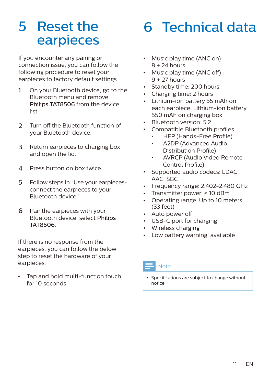## 5 Reset the earpieces

If you encounter any pairing or connection issue, you can follow the following procedure to reset your earpieces to factory default settings.

- 1 On your Bluetooth device, go to the Bluetooth menu and remove Philips TAT8506 from the device list.
- 2 Turn off the Bluetooth function of your Bluetooth device.
- 3 Return earpieces to charging box and open the lid.
- 4 Press button on box twice.
- 5 Follow steps in "Use your earpiecesconnect the earpieces to your Bluetooth device."
- 6 Pair the earpieces with your Bluetooth device, select Philips TAT8506.

If there is no response from the earpieces, you can follow the below step to reset the hardware of your earpieces.

Tap and hold multi-function touch for 10 seconds.

## 6 Technical data

- Music play time (ANC on) :  $8 + 24$  hours
- Music play time (ANC off) : 9 + 27 hours
- Standby time: 200 hours
- Charging time: 2 hours
- Lithium-ion battery 55 mAh on each earpiece, Lithium-ion battery 550 mAh on charging box
- Bluetooth version: 5.2
- Compatible Bluetooth profiles:
	- HFP (Hands-Free Profile)
	- A2DP (Advanced Audio Distribution Profile)
	- AVRCP (Audio Video Remote Control Profile)
- $\bullet$  . Supported audio codecs: LDAC, AAC, SBC
- Frequency range: 2.402-2.480 GHz
- Transmitter power: < 10 dBm
- Operating range: Up to 10 meters (33 feet)
- Auto power off
- USB-C port for charging
- Wireless charging
- Low battery warning: available

#### Note

• Specifications are subject to change without notice.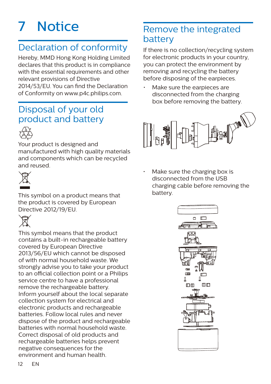## 7 Notice

## Declaration of conformity

Hereby, MMD Hong Kong Holding Limited declares that this product is in compliance with the essential requirements and other relevant provisions of Directive

2014/53/EU. You can find the Declaration of Conformity on www.p4c.philips.com.

## Disposal of your old product and battery



Your product is designed and manufactured with high quality materials and components which can be recycled and reused.



This symbol on a product means that the product is covered by European Directive 2012/19/EU.



This symbol means that the product contains a built-in rechargeable battery covered by European Directive 2013/56/EU which cannot be disposed of with normal household waste. We strongly advise you to take your product to an official collection point or a Philips service centre to have a professional remove the rechargeable battery. Inform yourself about the local separate collection system for electrical and electronic products and rechargeable batteries. Follow local rules and never dispose of the product and rechargeable batteries with normal household waste. Correct disposal of old products and rechargeable batteries helps prevent negative consequences for the environment and human health.

## Remove the integrated battery

If there is no collection/recycling system for electronic products in your country, you can protect the environment by removing and recycling the battery before disposing of the earpieces.

Make sure the earpieces are disconnected from the charging box before removing the battery.



• Make sure the charging box is disconnected from the USB charging cable before removing the battery.

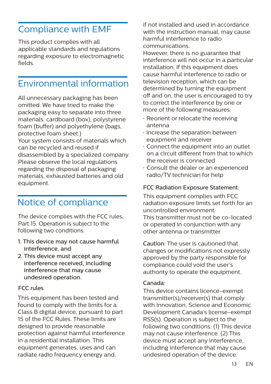## Compliance with EMF

This product complies with all applicable standards and regulations regarding exposure to electromagnetic elds.

## Environmental information

All unnecessary packaging has been omitted. We have tried to make the packaging easy to separate into three materials: cardboard (box), polystyrene foam (buffer) and polyethylene (bags, protective foam sheet.) Your system consists of materials which can be recycled and reused if disassembled by a specialized company. Please observe the local regulations regarding the disposal of packaging materials, exhausted batteries and old equipment.

## Notice of compliance

The device complies with the FCC rules, Part 15. Operation is subject to the following two conditions:

- 1. This device may not cause harmful interference, and
- 2. This device must accept any interference received, including interference that may cause undesired operation.

#### FCC rules

This equipment has been tested and found to comply with the limits for a Class B digital device, pursuant to part 15 of the FCC Rules. These limits are designed to provide reasonable protection against harmful interference in a residential installation. This equipment generates, uses and can radiate radio frequency energy and,

if not installed and used in accordance with the instruction manual, may cause harmful interference to radio communications.

However, there is no guarantee that interference will not occur in a particular installation. If this equipment does cause harmful interference to radio or television reception, which can be determined by turning the equipment off and on, the user is encouraged to try to correct the interference by one or more of the following measures:

- $\cdot$  Reorient or relocate the receiving antenna
- $\cdot$  Increase the separation between equipment and receiver
- $\cdot$  Connect the equipment into an outlet on a circuit different from that to which the receiver is connected
- Consult the dealer or an experienced radio/TV technician for help

#### FCC Radiation Exposure Statement:

This equipment complies with FCC radiation exposure limits set forth for an uncontrolled environment. This transmitter must not be co-located or operated in conjunction with any other antenna or transmitter.

Caution: The user is cautioned that changes or modifications not expressly approved by the party responsible for compliance could void the user's authority to operate the equipment.

#### Canada:

This device contains licence-exempt transmitter(s)/receiver(s) that comply with Innovation, Science and Economic Development Canada's license-exempt RSS(s). Operation is subject to the following two conditions: (1) This device may not cause interference. (2) This device must accept any interference, including interference that may cause undesired operation of the device.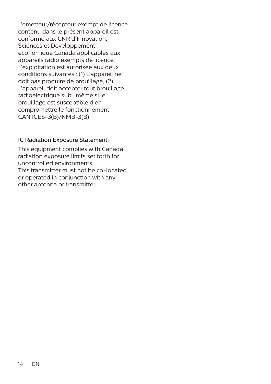L'émetteur/récepteur exempt de licence contenu dans le présent appareil est conforme aux CNR d'Innovation, Sciences et Développement économique Canada applicables aux appareils radio exempts de licence. L'exploitation est autorisée aux deux conditions suivantes : (1) L'appareil ne doit pas produire de brouillage; (2) L'appareil doit accepter tout brouillage radioélectrique subi, même si le brouillage est susceptible d'en compromettre le fonctionnement. CAN ICES-3(B)/NMB-3(B)

#### IC Radiation Exposure Statement:

This equipment complies with Canada radiation exposure limits set forth for uncontrolled environments. This transmitter must not be co-located or operated in conjunction with any other antenna or transmitter.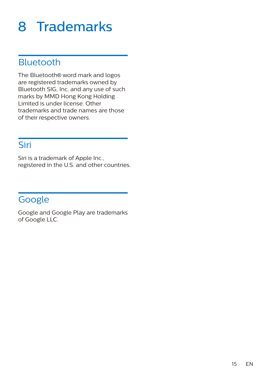## 8 Trademarks

### Bluetooth

The Bluetooth® word mark and logos are registered trademarks owned by Bluetooth SIG, Inc. and any use of such marks by MMD Hong Kong Holding Limited is under license. Other trademarks and trade names are those of their respective owners.

### Siri

Siri is a trademark of Apple Inc., registered in the U.S. and other countries.

## Google

Google and Google Play are trademarks of Google LLC.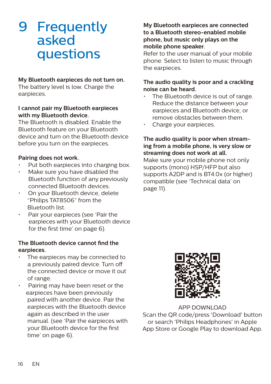## 9 Frequently asked questions

#### **My Bluetooth earpieces do not turn on.**

The battery level is low. Charge the earpieces.

#### **I cannot pair my Bluetooth earpieces with my Bluetooth device.**

The Bluetooth is disabled. Enable the Bluetooth feature on your Bluetooth device and turn on the Bluetooth device before you turn on the earpieces.

#### **Pairing does not work.**

- Put both earpieces into charging box.
- Make sure you have disabled the Bluetooth function of any previously connected Bluetooth devices.
- On your Bluetooth device, delete "Philips TAT8506" from the Bluetooth list.
- Pair your earpieces (see 'Pair the earpieces with your Bluetooth device for the first time' on page 6).

#### **The Bluetooth device cannot find the earpieces.**

- The earpieces may be connected to a previously paired device. Turn o the connected device or move it out of range.
- Pairing may have been reset or the earpieces have been previously paired with another device. Pair the earpieces with the Bluetooth device again as described in the user manual. (see 'Pair the earpieces with your Bluetooth device for the first time' on page 6).

#### **My Bluetooth earpieces are connected to a Bluetooth stereo-enabled mobile phone, but music only plays on the mobile phone speaker.**

Refer to the user manual of your mobile phone. Select to listen to music through the earpieces.

#### **The audio quality is poor and a crackling noise can be heard.**

- The Bluetooth device is out of range. Reduce the distance between your earpieces and Bluetooth device, or remove obstacles between them.
- Charge your earpieces.

#### **The audio quality is poor when streaming from a mobile phone, is very slow or streaming does not work at all.**

Make sure your mobile phone not only supports (mono) HSP/HFP but also supports A2DP and is BT4.0x (or higher) compatible (see 'Technical data' on page 11).



APP DOWNLOAD Scan the QR code/press 'Download' button or search 'Philips Headphones' in Apple App Store or Google Play to download App.